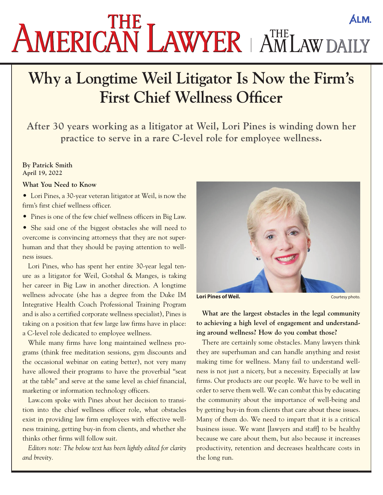# **ÁLM.** AMERICAN LAWYER AMLAWDAILY

# **Why a Longtime Weil Litigator Is Now the Firm's First Chief Wellness Officer**

**After 30 years working as a litigator at Weil, Lori Pines is winding down her practice to serve in a rare C-level role for employee wellness.**

#### **By Patrick Smith April 19, 2022**

#### **What You Need to Know**

• Lori Pines, a 30-year veteran litigator at Weil, is now the firm's first chief wellness officer.

• Pines is one of the few chief wellness officers in Big Law.

• She said one of the biggest obstacles she will need to overcome is convincing attorneys that they are not superhuman and that they should be paying attention to wellness issues.

Lori Pines, who has spent her entire 30-year legal tenure as a litigator for Weil, Gotshal & Manges, is taking her career in Big Law in another direction. A longtime wellness advocate (she has a degree from the Duke IM Integrative Health Coach Professional Training Program and is also a certified corporate wellness specialist), Pines is taking on a position that few large law firms have in place: a C-level role dedicated to employee wellness.

While many firms have long maintained wellness programs (think free meditation sessions, gym discounts and the occasional webinar on eating better), not very many have allowed their programs to have the proverbial "seat at the table" and serve at the same level as chief financial, marketing or information technology officers.

Law.com spoke with Pines about her decision to transition into the chief wellness officer role, what obstacles exist in providing law firm employees with effective wellness training, getting buy-in from clients, and whether she thinks other firms will follow suit.

*Editors note: The below text has been lightly edited for clarity and brevity.*



**Lori Pines of Weil. Courtesy photo. Courtesy photo.** 

**What are the largest obstacles in the legal community to achieving a high level of engagement and understanding around wellness? How do you combat those?** 

There are certainly some obstacles. Many lawyers think they are superhuman and can handle anything and resist making time for wellness. Many fail to understand wellness is not just a nicety, but a necessity. Especially at law firms. Our products are our people. We have to be well in order to serve them well. We can combat this by educating the community about the importance of well-being and by getting buy-in from clients that care about these issues. Many of them do. We need to impart that it is a critical business issue. We want [lawyers and staff] to be healthy because we care about them, but also because it increases productivity, retention and decreases healthcare costs in the long run.